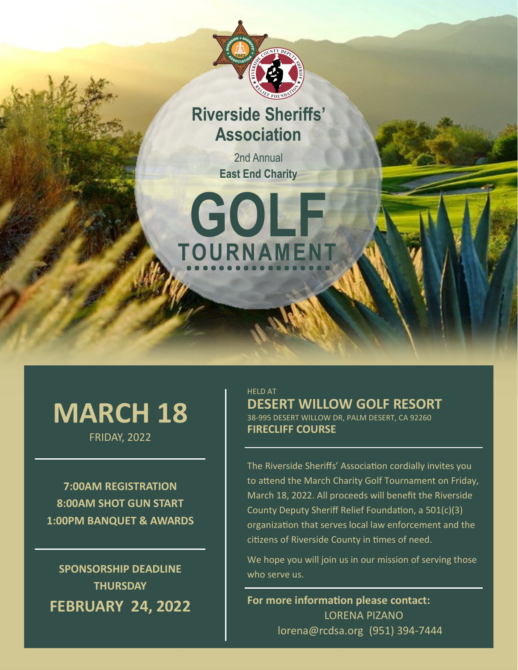

# **Riverside Sheriffs' Association**

2nd Annual **East End Charity** 



# **MARCH 18**

FRIDAY, 2022

**7:00AM REGISTRATION 8:00AM SHOT GUN START 1:00PM BANQUET & AWARDS**

**SPONSORSHIP DEADLINE THURSDAY FEBRUARY 24, 2022** HELD AT **DESERT WILLOW GOLF RESORT** 38-995 DESERT WILLOW DR, PALM DESERT, CA 92260 **FIRECLIFF COURSE**

The Riverside Sheriffs' Association cordially invites you to attend the March Charity Golf Tournament on Friday, March 18, 2022. All proceeds will benefit the Riverside County Deputy Sheriff Relief Foundation, a 501(c)(3) organization that serves local law enforcement and the citizens of Riverside County in times of need.

We hope you will join us in our mission of serving those who serve us.

**For more information please contact:**  LORENA PIZANO lorena@rcdsa.org (951) 394-7444